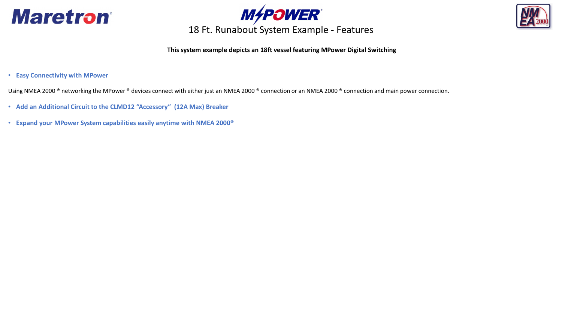





### **This system example depicts an 18ft vessel featuring MPower Digital Switching**

• **Easy Connectivity with MPower**

Using NMEA 2000<sup>®</sup> networking the MPower<sup>®</sup> devices connect with either just an NMEA 2000<sup>®</sup> connection or an NMEA 2000<sup>®</sup> connection and main power connection.

- **Add an Additional Circuit to the CLMD12 "Accessory" (12A Max) Breaker**
- **Expand your MPower System capabilities easily anytime with NMEA 2000®**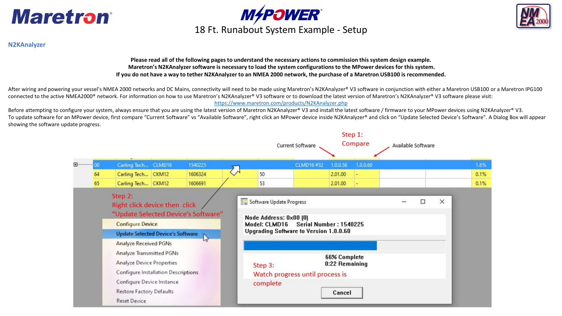





### **N2KAnalyzer**

**Please read all of the following pages to understand the necessary actions to commission this system design example. Maretron's N2KAnalyzer software is necessary to load the system configurations to the MPower devices for this system. If you do not have a way to tether N2KAnalyzer to an NMEA 2000 network, the purchase of a Maretron USB100 is recommended.** 

After wiring and powering your vessel's NMEA 2000 networks and DC Mains, connectivity will need to be made using Maretron's N2KAnalyzer® V3 software in conjunction with either a Maretron USB100 or a Maretron IPG100 connected to the active NMEA2000® network. For information on how to use Maretron's N2KAnalyzer® V3 software or to download the latest version of Maretron's N2KAnalyzer® V3 software please visit: <https://www.maretron.com/products/N2KAnalyzer.php>

Before attempting to configure your system, always ensure that you are using the latest version of Maretron N2KAnalyzer® V3 and install the latest software / firmware to your MPower devices using N2KAnalyzer® V3. To update software for an MPower device, first compare "Current Software" vs "Available Software", right click an MPower device inside N2KAnalyzer® and click on "Update Selected Device's Software". A Dialog Box will appear showing the software update progress.

|                                                                                                                                                                                                        |                                                                                                                                                                                     |                     |  |         |  |                                                                                                                                         | Current Software |         | Step 1:<br>Compare | Available Software |   |          |      |
|--------------------------------------------------------------------------------------------------------------------------------------------------------------------------------------------------------|-------------------------------------------------------------------------------------------------------------------------------------------------------------------------------------|---------------------|--|---------|--|-----------------------------------------------------------------------------------------------------------------------------------------|------------------|---------|--------------------|--------------------|---|----------|------|
| 田                                                                                                                                                                                                      | OO.                                                                                                                                                                                 | Carling Tech CLMD16 |  | 1540225 |  | CLMD16#32                                                                                                                               |                  |         | 1.0.0.60           |                    |   |          | 1.6% |
|                                                                                                                                                                                                        | 64                                                                                                                                                                                  | Carling Tech CKM12  |  | 1606324 |  | 50                                                                                                                                      |                  | 2.01.00 |                    |                    |   |          | 0.1% |
|                                                                                                                                                                                                        | 65                                                                                                                                                                                  | Carling Tech CKM12  |  | 1606691 |  | 53                                                                                                                                      |                  | 2.01.00 |                    |                    |   |          | 0.1% |
| Step 2:<br>Right click device then click<br>"Update Selected Device's Software"<br><b>Configure Device</b><br><b>Update Selected Device's Software</b><br>$\mathbb{Z}$<br><b>Analyze Received PGNs</b> |                                                                                                                                                                                     |                     |  |         |  | Software Update Progress<br>Node Address: 0x00 [0]<br>Model: CLMD16<br>Serial Number: 1540225<br>Upgrading Software to Version 1.0.0.60 |                  |         |                    |                    | □ | $\times$ |      |
|                                                                                                                                                                                                        | Analyze Transmitted PGNs<br><b>Analyze Device Properties</b><br>Configure Installation Descriptions<br>Configure Device Instance<br>Restore Factory Defaults<br><b>Reset Device</b> |                     |  |         |  | <b>66% Complete</b><br>0:22 Remaining<br>Step 3:<br>Watch progress until process is<br>complete<br>Cancel                               |                  |         |                    |                    |   |          |      |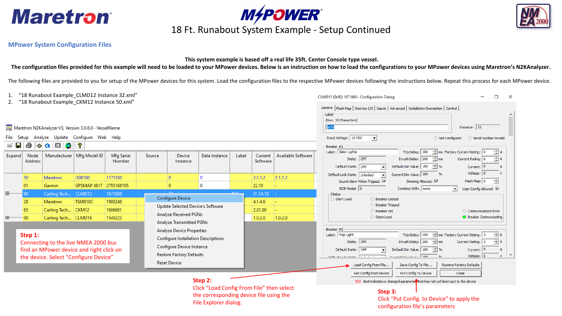



# **M4POWER**<br>18 Ft. Runabout System Example - Setup Continued

### **MPower System Configuration Files**

### **This system example is based off a real life 35ft. Center Console type vessel.**

**The configuration files provided for this example will need to be loaded to your MPower devices. Below is an instruction on how to load the configurations to your MPower devices using Maretron's N2KAnalyzer.**

The following files are provided to you for setup of the MPower devices for this system. Load the configuration files to the respective MPower devices following the instructions below. Repeat this process for each MPower d

| "18 Runabout Example_CLMD12 Instance 32.xml"                                                    |                 |                     |                                   |                   |                                                                         |                                   |               |         | $\Box$<br>$\times$<br>CLMD12 (0x90) 1671808 - Configuration Dialog                          |                                                                                          |                                                                                                                                                                                           |  |  |  |  |
|-------------------------------------------------------------------------------------------------|-----------------|---------------------|-----------------------------------|-------------------|-------------------------------------------------------------------------|-----------------------------------|---------------|---------|---------------------------------------------------------------------------------------------|------------------------------------------------------------------------------------------|-------------------------------------------------------------------------------------------------------------------------------------------------------------------------------------------|--|--|--|--|
| "18 Runabout Example CKM12 Instance 50.xml"<br>2.                                               |                 |                     |                                   |                   |                                                                         |                                   |               |         | General   Flash Map   Discrete I/O   Inputs   Advanced   Installation Description   Control |                                                                                          |                                                                                                                                                                                           |  |  |  |  |
|                                                                                                 |                 |                     |                                   |                   |                                                                         |                                   |               |         |                                                                                             |                                                                                          | -Label                                                                                                                                                                                    |  |  |  |  |
|                                                                                                 |                 |                     |                                   |                   |                                                                         |                                   |               |         |                                                                                             |                                                                                          | (Max. 32 Characters)                                                                                                                                                                      |  |  |  |  |
| Maretron N2KAnalyzer V3, Version 3.0.6.0 - VesselName                                           |                 |                     |                                   |                   |                                                                         |                                   |               |         | #33<br>Instance: 33                                                                         |                                                                                          |                                                                                                                                                                                           |  |  |  |  |
| File Setup                                                                                      |                 |                     | Analyze Update Configure Web Help |                   |                                                                         |                                   |               |         |                                                                                             |                                                                                          | Input Voltage: 12 VDC<br>$\vert \cdot \vert$<br>O Not Configured<br>Serial Number Invalid                                                                                                 |  |  |  |  |
| e H                                                                                             |                 | 80003               | ?                                 |                   |                                                                         |                                   |               |         |                                                                                             |                                                                                          | Breaker #1                                                                                                                                                                                |  |  |  |  |
| Expand                                                                                          | Node            |                     | Manufacturer   Mfg Model ID       | <b>Mfg Serial</b> | Source                                                                  | Device                            | Data Instance | Label   | Current                                                                                     | Available Software                                                                       | Trip Delay: $\boxed{100 \div}$ ms Factory Current Rating: 6<br>$\exists$ A<br>Label: Salon Lights                                                                                         |  |  |  |  |
|                                                                                                 | Address         |                     |                                   | Number            |                                                                         | Instance                          |               |         | Software                                                                                    |                                                                                          | Inrush Delay: $\boxed{200 \div}$ ms<br>$\pm$ A<br>State: OFF<br>Current Rating: 6                                                                                                         |  |  |  |  |
|                                                                                                 |                 |                     |                                   |                   |                                                                         |                                   |               |         |                                                                                             |                                                                                          | Default Dim Value: $\boxed{100 \div }$ %<br>Current: 0<br>Default State: OFF                                                                                                              |  |  |  |  |
| 田                                                                                               | 50              | Maretron            | <b>USB100</b>                     | 1171350           |                                                                         | $\mathbf{0}$                      | $\mathbf{0}$  |         | 2.1.1.2                                                                                     | 2.1.1.2                                                                                  | Voltage: $ 0 $<br>Current Dim Value: 100<br>$\frac{9}{6}$<br>Default Lock State: Unlocked                                                                                                 |  |  |  |  |
|                                                                                                 | 01              | Garmin              | GPSMAP 8617                       | 2795168195        |                                                                         | $\mathbf{0}$                      | $\mathbf 0$   |         | 22.10                                                                                       |                                                                                          | Flash Map: 0<br>극<br>Dimming Allowed: V<br>Sound Alarm When Tripped: V                                                                                                                    |  |  |  |  |
|                                                                                                 | 90 <sub>1</sub> | Carling Tech CLMD12 |                                   | 1671808           |                                                                         |                                   |               | لمصط    | 01.14.10                                                                                    |                                                                                          | ECB Model: 0<br>Combine With: none<br>User Config Allowed: V<br>◥<br><b>Status</b>                                                                                                        |  |  |  |  |
|                                                                                                 | 28              | Maretron            | <b>TSM810C</b>                    | 1900248           |                                                                         | Configure Device                  |               |         | 4.1.4.6                                                                                     |                                                                                          | ○ Breaker Locked<br>Short Load                                                                                                                                                            |  |  |  |  |
|                                                                                                 | 65              | Carling Tech CKM12  |                                   | 1606691           |                                                                         | Update Selected Device's Software |               |         | 2.01.00                                                                                     |                                                                                          | ○ Breaker Tripped<br>○ Breaker ON                                                                                                                                                         |  |  |  |  |
| 田…                                                                                              | 00              |                     |                                   | 1540225           | Analyze Received PGNs                                                   |                                   |               | 1.0.2.0 | 1.0.2.0                                                                                     | ◯ Communications Error<br>O Open Load<br><b>Breaker Communicating</b>                    |                                                                                                                                                                                           |  |  |  |  |
| Carling Tech CLMD16                                                                             |                 |                     |                                   |                   |                                                                         | <b>Analyze Transmitted PGNs</b>   |               |         |                                                                                             |                                                                                          |                                                                                                                                                                                           |  |  |  |  |
| <b>Analyze Device Properties</b>                                                                |                 |                     |                                   |                   |                                                                         |                                   |               |         |                                                                                             |                                                                                          | -Breaker #2                                                                                                                                                                               |  |  |  |  |
| Step 1:<br>Connecting to the live NMEA 2000 bus                                                 |                 |                     |                                   |                   | <b>Configure Installation Descriptions</b><br>Configure Device Instance |                                   |               |         |                                                                                             |                                                                                          | $\frac{1}{\sqrt{2}}$ ms Factory Current Rating: $\sqrt{3}$<br>$\pm$ A<br>Trip Delay: 100<br>Label: Map Light<br>Inrush Delay: $200 \div ms$<br>State: OFF<br>$\pm$ A<br>Current Rating: 3 |  |  |  |  |
|                                                                                                 |                 |                     |                                   |                   |                                                                         |                                   |               |         |                                                                                             |                                                                                          | Default Dim Value: 100<br>$\Rightarrow$ %<br>Current: $ 0 $<br>Default State: OFF                                                                                                         |  |  |  |  |
| find an MPower device and right click on<br>the device. Select "Configure Device"               |                 |                     |                                   |                   | <b>Restore Factory Defaults</b>                                         |                                   |               |         |                                                                                             |                                                                                          | Voltage: 0<br>$P_{\text{observed PSE}}(t_{\text{obs}}, t_{\text{obs}}, \ldots) = 100.$<br>$\mathbf{V}$<br>explained and explain the main and<br>O                                         |  |  |  |  |
|                                                                                                 |                 |                     |                                   |                   | <b>Reset Device</b>                                                     |                                   |               |         |                                                                                             |                                                                                          | Save Config To File<br>Restore Factory Defaults<br>Load Config From File                                                                                                                  |  |  |  |  |
|                                                                                                 |                 |                     |                                   |                   |                                                                         |                                   |               |         |                                                                                             |                                                                                          |                                                                                                                                                                                           |  |  |  |  |
| Step 2:<br>Click "Load Config From File" then select<br>the corresponding device file using the |                 |                     |                                   |                   |                                                                         |                                   |               |         |                                                                                             | Get Config From Device<br>Put Config To Device<br>Close                                  |                                                                                                                                                                                           |  |  |  |  |
|                                                                                                 |                 |                     |                                   |                   |                                                                         |                                   |               |         |                                                                                             | RED text indicates a changed parameter that has not yet been put to the device           |                                                                                                                                                                                           |  |  |  |  |
|                                                                                                 |                 |                     |                                   |                   |                                                                         |                                   |               |         |                                                                                             | Step 3:<br>Click "Put Config. to Device" to apply the<br>configuration file's parameters |                                                                                                                                                                                           |  |  |  |  |
| File Explorer dialog.                                                                           |                 |                     |                                   |                   |                                                                         |                                   |               |         |                                                                                             |                                                                                          |                                                                                                                                                                                           |  |  |  |  |
|                                                                                                 |                 |                     |                                   |                   |                                                                         |                                   |               |         |                                                                                             |                                                                                          |                                                                                                                                                                                           |  |  |  |  |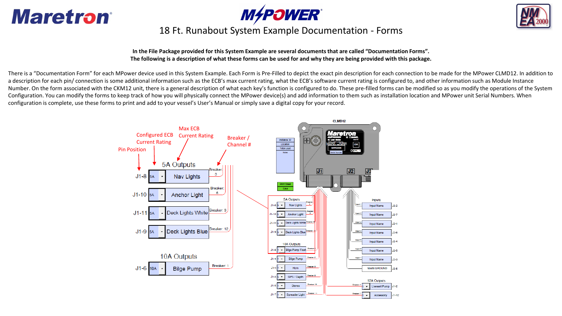





## 18 Ft. Runabout System Example Documentation - Forms

**In the File Package provided for this System Example are several documents that are called "Documentation Forms". The following is a description of what these forms can be used for and why they are being provided with this package.** 

There is a "Documentation Form" for each MPower device used in this System Example. Each Form is Pre-Filled to depict the exact pin description for each connection to be made for the MPower CLMD12. In addition to a description for each pin/ connection is some additional information such as the ECB's max current rating, what the ECB's software current rating is configured to, and other information such as Module Instance Number. On the form associated with the CKM12 unit, there is a general description of what each key's function is configured to do. These pre-filled forms can be modified so as you modify the operations of the System Configuration. You can modify the forms to keep track of how you will physically connect the MPower device(s) and add information to them such as installation location and MPower unit Serial Numbers. When configuration is complete, use these forms to print and add to your vessel's User's Manual or simply save a digital copy for your record.